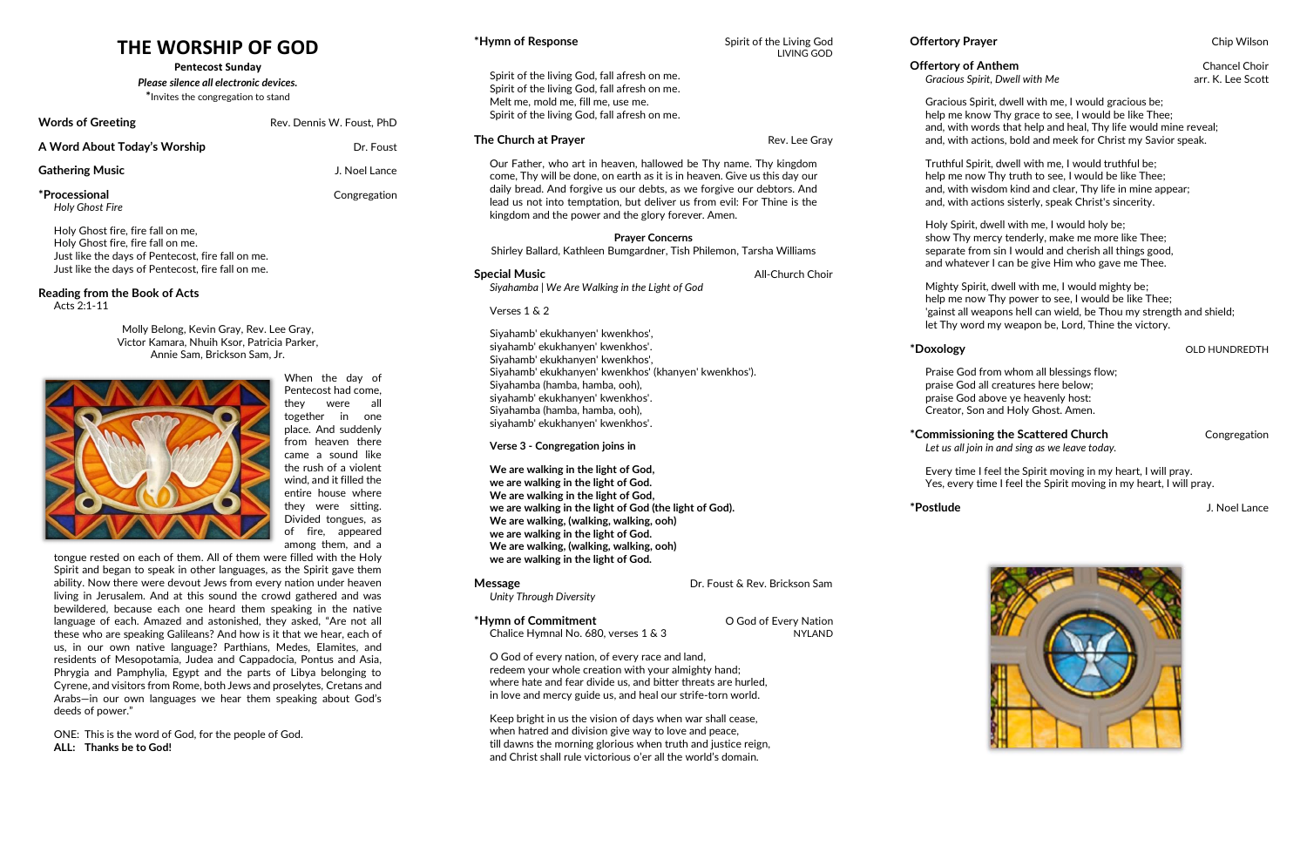## **THE WORSHIP OF GOD**

**Pentecost Sunday** *Please silence all electronic devices.* **\***Invites the congregation to stand

| <b>Words of Greeting</b>         | Rev. Dennis W. Foust, PhD |
|----------------------------------|---------------------------|
| A Word About Today's Worship     | Dr. Foust                 |
| <b>Gathering Music</b>           | J. Noel Lance             |
| *Processional<br>Holy Ghost Fire | Congregation              |

Holy Ghost fire, fire fall on me, Holy Ghost fire, fire fall on me. Just like the days of Pentecost, fire fall on me. Just like the days of Pentecost, fire fall on me.

#### **Reading from the Book of Acts**

Acts 2:1-11

Molly Belong, Kevin Gray, Rev. Lee Gray, Victor Kamara, Nhuih Ksor, Patricia Parker, Annie Sam, Brickson Sam, Jr.



When the day of Pentecost had come, they were all together in one place. And suddenly from heaven there came a sound like the rush of a violent wind, and it filled the entire house where they were sitting. Divided tongues, as of fire, appeared among them, and a

tongue rested on each of them. All of them were filled with the Holy Spirit and began to speak in other languages, as the Spirit gave them ability. Now there were devout Jews from every nation under heaven living in Jerusalem. And at this sound the crowd gathered and was bewildered, because each one heard them speaking in the native language of each. Amazed and astonished, they asked, "Are not all these who are speaking Galileans? And how is it that we hear, each of us, in our own native language? Parthians, Medes, Elamites, and residents of Mesopotamia, Judea and Cappadocia, Pontus and Asia, Phrygia and Pamphylia, Egypt and the parts of Libya belonging to Cyrene, and visitors from Rome, both Jews and proselytes, Cretans and Arabs—in our own languages we hear them speaking about God's deeds of power."

ONE: This is the word of God, for the people of God. **ALL: Thanks be to God!**

| *Hymn of Response                                                                                     | Spirit of the Living God      | <b>Offertory P</b>             |
|-------------------------------------------------------------------------------------------------------|-------------------------------|--------------------------------|
|                                                                                                       | <b>LIVING GOD</b>             | Offertory of                   |
| Spirit of the living God, fall afresh on me.                                                          |                               | Gracious S                     |
| Spirit of the living God, fall afresh on me.<br>Melt me, mold me, fill me, use me.                    |                               |                                |
| Spirit of the living God, fall afresh on me.                                                          |                               | <b>Gracious</b> 9<br>help me k |
|                                                                                                       |                               | and, with                      |
| The Church at Prayer                                                                                  | Rev. Lee Gray                 | and, with                      |
| Our Father, who art in heaven, hallowed be Thy name. Thy kingdom                                      |                               | <b>Truthful S</b>              |
| come, Thy will be done, on earth as it is in heaven. Give us this day our                             | help me n                     |                                |
| daily bread. And forgive us our debts, as we forgive our debtors. And                                 |                               | and, with                      |
| lead us not into temptation, but deliver us from evil: For Thine is the                               |                               | and, with                      |
| kingdom and the power and the glory forever. Amen.                                                    |                               | Holy Spiri                     |
| <b>Prayer Concerns</b>                                                                                |                               | show Thy                       |
| Shirley Ballard, Kathleen Bumgardner, Tish Philemon, Tarsha Williams                                  |                               | separate f                     |
|                                                                                                       |                               | and whate                      |
| <b>Special Music</b><br>Siyahamba   We Are Walking in the Light of God                                | All-Church Choir              | Mighty Sp                      |
|                                                                                                       |                               | help me n                      |
| Verses 1 & 2                                                                                          |                               | 'gainst all                    |
|                                                                                                       |                               | let Thy wo                     |
| Siyahamb' ekukhanyen' kwenkhos',<br>siyahamb' ekukhanyen' kwenkhos'.                                  |                               |                                |
| Siyahamb' ekukhanyen' kwenkhos',                                                                      |                               | *Doxology                      |
| Siyahamb' ekukhanyen' kwenkhos' (khanyen' kwenkhos').                                                 |                               | Praise Go                      |
| Siyahamba (hamba, hamba, ooh),                                                                        |                               | praise Go                      |
| siyahamb' ekukhanyen' kwenkhos'.                                                                      |                               | praise Go                      |
| Siyahamba (hamba, hamba, ooh),                                                                        |                               | Creator, S                     |
| siyahamb' ekukhanyen' kwenkhos'.                                                                      |                               | *Commissio                     |
| Verse 3 - Congregation joins in                                                                       |                               | Let us all jo                  |
| We are walking in the light of God,                                                                   |                               | Every time                     |
| we are walking in the light of God.                                                                   |                               | Yes, every                     |
| We are walking in the light of God,                                                                   |                               |                                |
| we are walking in the light of God (the light of God).                                                |                               | *Postlude                      |
| We are walking, (walking, walking, ooh)                                                               |                               |                                |
| we are walking in the light of God.                                                                   |                               |                                |
| We are walking, (walking, walking, ooh)<br>we are walking in the light of God.                        |                               |                                |
| <b>Message</b>                                                                                        | Dr. Foust & Rev. Brickson Sam |                                |
| Unity Through Diversity                                                                               |                               |                                |
| *Hymn of Commitment                                                                                   | O God of Every Nation         |                                |
| Chalice Hymnal No. 680, verses 1 & 3                                                                  | <b>NYLAND</b>                 |                                |
|                                                                                                       |                               |                                |
| O God of every nation, of every race and land,<br>redeem your whole creation with your almighty hand; |                               |                                |
| where hate and fear divide us, and bitter threats are hurled,                                         |                               |                                |
| in love and mercy guide us, and heal our strife-torn world.                                           |                               |                                |
| Keep bright in us the vision of days when war shall cease,                                            |                               |                                |
| when hatred and division give way to love and peace,                                                  |                               |                                |

**Chancel Choir** Chancel Choir *Gracious Spirit, Dwell with Me* arr. K. Lee Scott

Spirit, dwell with me, I would gracious be; now Thy grace to see, I would be like Thee; words that help and heal, Thy life would mine reveal; actions, bold and meek for Christ my Savior speak.

 $\delta$ pirit, dwell with me, I would truthful be; ow Thy truth to see, I would be like Thee; wisdom kind and clear, Thy life in mine appear; actions sisterly, speak Christ's sincerity.

it, dwell with me, I would holy be; mercy tenderly, make me more like Thee; from sin I would and cherish all things good, ever I can be give Him who gave me Thee.

 $\delta$  oirit, dwell with me, I would mighty be; ow Thy power to see, I would be like Thee; weapons hell can wield, be Thou my strength and shield; ord my weapon be, Lord, Thine the victory.

**OLD HUNDREDTH** 

d from whom all blessings flow; d all creatures here below; d above ye heavenly host: Son and Holy Ghost. Amen.

### **The Scattered Church Congregation**

till dawns the morning glorious when truth and justice reign, and Christ shall rule victorious o'er all the world's domain.

*Let us all join in and sing as we leave today.* 

e I feel the Spirit moving in my heart, I will pray. time I feel the Spirit moving in my heart, I will pray.

**\*Postlude** J. Noel Lance



**Prayer Prayer Proposed Exercise 2018**